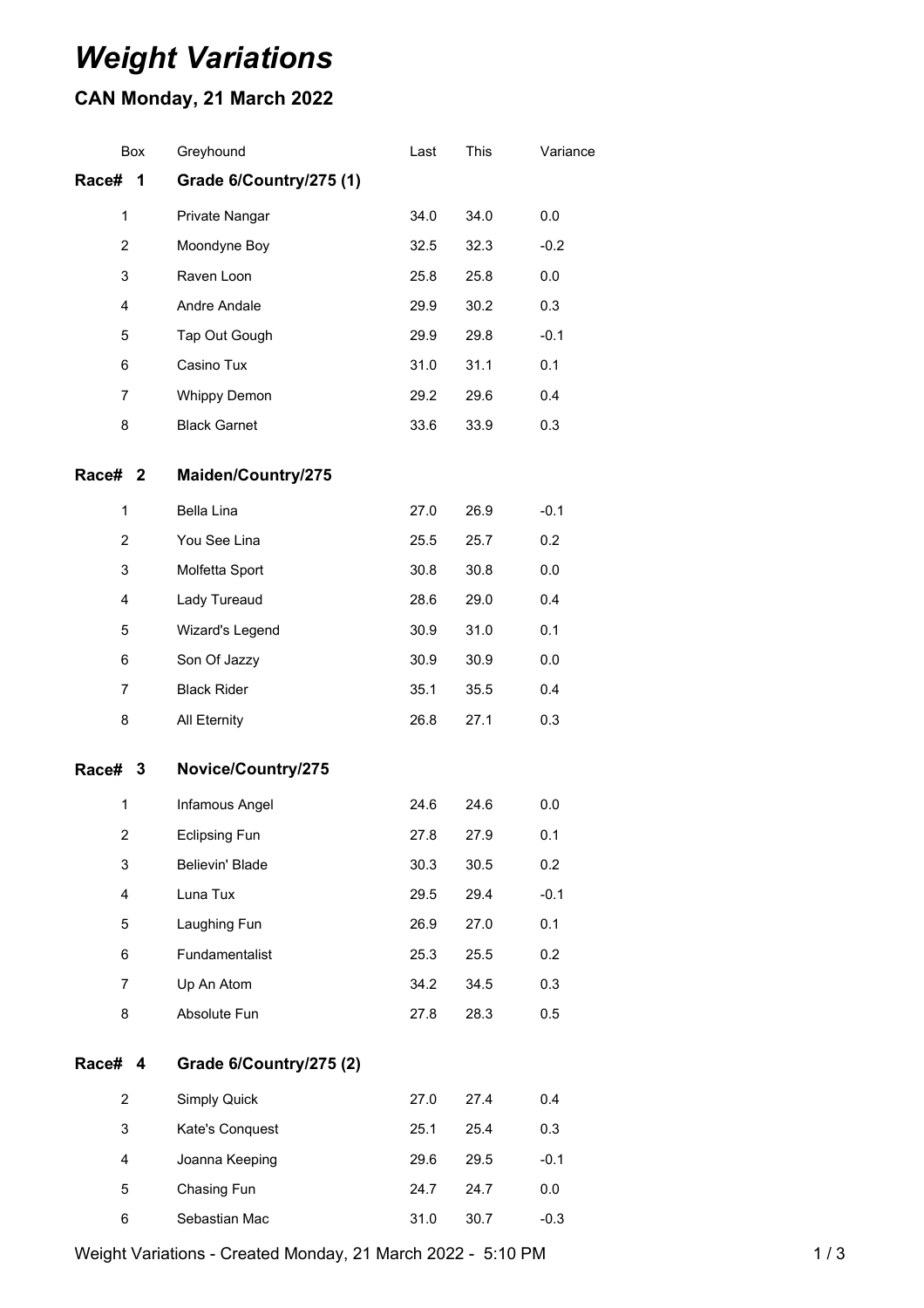## *Weight Variations*

## **CAN Monday, 21 March 2022**

| <b>Box</b>              | Greyhound               | Last | This | Variance |
|-------------------------|-------------------------|------|------|----------|
| Race#<br>1              | Grade 6/Country/275 (1) |      |      |          |
| 1                       | Private Nangar          | 34.0 | 34.0 | 0.0      |
| $\overline{2}$          | Moondyne Boy            | 32.5 | 32.3 | $-0.2$   |
| 3                       | Raven Loon              | 25.8 | 25.8 | 0.0      |
| 4                       | Andre Andale            | 29.9 | 30.2 | 0.3      |
| 5                       | Tap Out Gough           | 29.9 | 29.8 | $-0.1$   |
| 6                       | Casino Tux              | 31.0 | 31.1 | 0.1      |
| 7                       | <b>Whippy Demon</b>     | 29.2 | 29.6 | 0.4      |
| 8                       | <b>Black Garnet</b>     | 33.6 | 33.9 | 0.3      |
| Race# 2                 | Maiden/Country/275      |      |      |          |
| 1                       | Bella Lina              | 27.0 | 26.9 | $-0.1$   |
| $\overline{2}$          | You See Lina            | 25.5 | 25.7 | 0.2      |
| 3                       | Molfetta Sport          | 30.8 | 30.8 | 0.0      |
| 4                       | Lady Tureaud            | 28.6 | 29.0 | 0.4      |
| 5                       | Wizard's Legend         | 30.9 | 31.0 | 0.1      |
| 6                       | Son Of Jazzy            | 30.9 | 30.9 | 0.0      |
| $\overline{7}$          | <b>Black Rider</b>      | 35.1 | 35.5 | 0.4      |
| 8                       | All Eternity            | 26.8 | 27.1 | 0.3      |
| Race# 3                 | Novice/Country/275      |      |      |          |
| 1                       | Infamous Angel          | 24.6 | 24.6 | 0.0      |
| $\overline{\mathbf{c}}$ | <b>Eclipsing Fun</b>    | 27.8 | 27.9 | 0.1      |
| 3                       | Believin' Blade         | 30.3 | 30.5 | 0.2      |
| 4                       | Luna Tux                | 29.5 | 29.4 | $-0.1$   |
| 5                       | Laughing Fun            | 26.9 | 27.0 | 0.1      |
| 6                       | Fundamentalist          | 25.3 | 25.5 | 0.2      |
| 7                       | Up An Atom              | 34.2 | 34.5 | 0.3      |
| 8                       | Absolute Fun            | 27.8 | 28.3 | 0.5      |
| <b>Race#</b><br>4       | Grade 6/Country/275 (2) |      |      |          |
| $\overline{\mathbf{c}}$ | Simply Quick            | 27.0 | 27.4 | 0.4      |
| 3                       | Kate's Conquest         | 25.1 | 25.4 | 0.3      |
| 4                       | Joanna Keeping          | 29.6 | 29.5 | $-0.1$   |
| 5                       | Chasing Fun             | 24.7 | 24.7 | 0.0      |
| 6                       | Sebastian Mac           | 31.0 | 30.7 | $-0.3$   |

Weight Variations - Created Monday, 21 March 2022 - 5:10 PM 1 / 3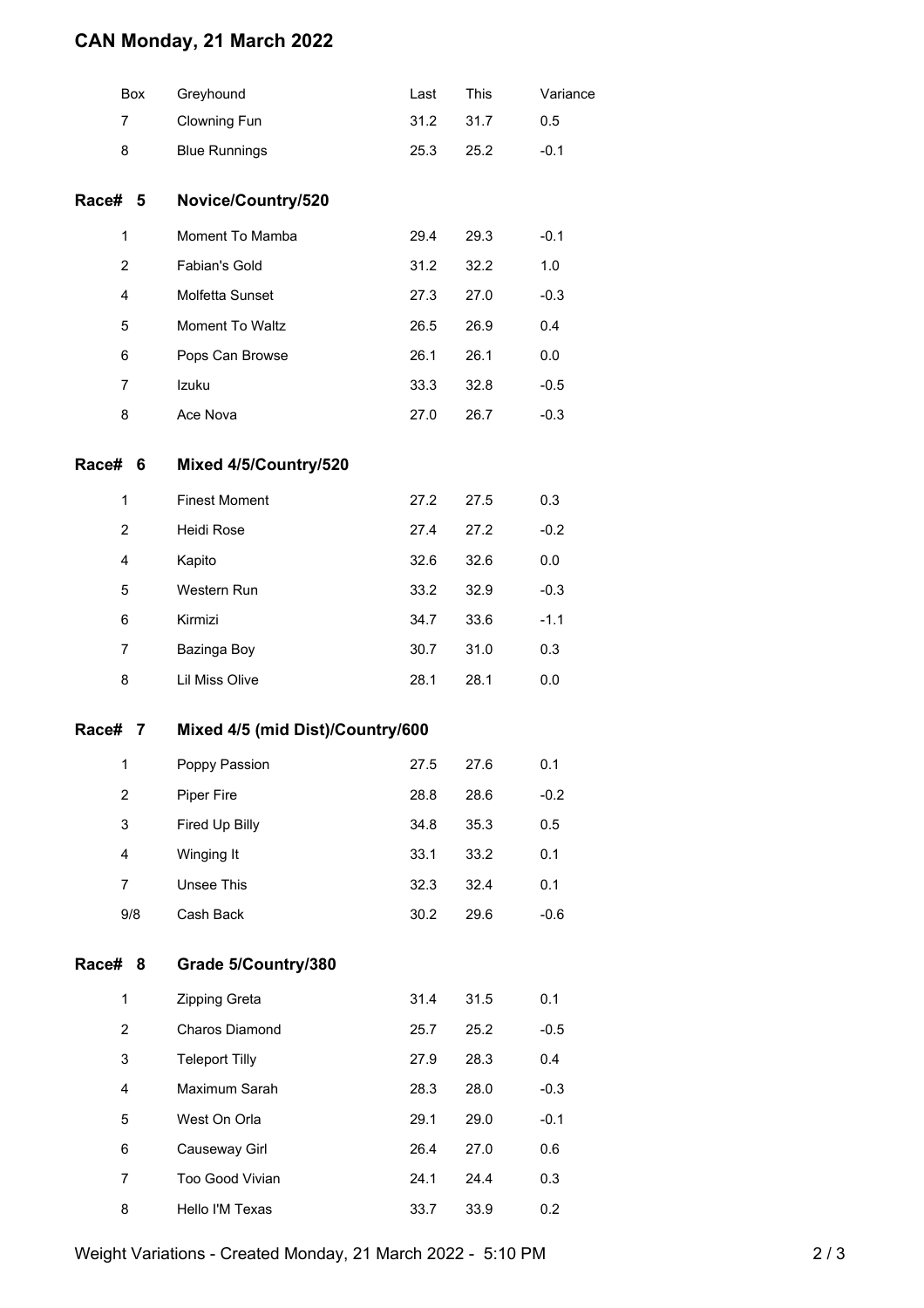## **CAN Monday, 21 March 2022**

|                | Box | Greyhound                        | Last | This | Variance |  |  |
|----------------|-----|----------------------------------|------|------|----------|--|--|
| $\overline{7}$ |     | Clowning Fun                     | 31.2 | 31.7 | 0.5      |  |  |
| 8              |     | <b>Blue Runnings</b>             | 25.3 | 25.2 | $-0.1$   |  |  |
| Race# 5        |     | Novice/Country/520               |      |      |          |  |  |
| 1              |     | Moment To Mamba                  | 29.4 | 29.3 | $-0.1$   |  |  |
| $\overline{c}$ |     | Fabian's Gold                    | 31.2 | 32.2 | 1.0      |  |  |
| 4              |     | Molfetta Sunset                  | 27.3 | 27.0 | $-0.3$   |  |  |
| 5              |     | Moment To Waltz                  | 26.5 | 26.9 | 0.4      |  |  |
| 6              |     | Pops Can Browse                  | 26.1 | 26.1 | 0.0      |  |  |
| $\overline{7}$ |     | Izuku                            | 33.3 | 32.8 | $-0.5$   |  |  |
| 8              |     | Ace Nova                         | 27.0 | 26.7 | $-0.3$   |  |  |
| Race#          | 6   | Mixed 4/5/Country/520            |      |      |          |  |  |
| 1              |     | <b>Finest Moment</b>             | 27.2 | 27.5 | 0.3      |  |  |
| 2              |     | Heidi Rose                       | 27.4 | 27.2 | $-0.2$   |  |  |
| 4              |     | Kapito                           | 32.6 | 32.6 | 0.0      |  |  |
| 5              |     | Western Run                      | 33.2 | 32.9 | $-0.3$   |  |  |
| 6              |     | Kirmizi                          | 34.7 | 33.6 | $-1.1$   |  |  |
| $\overline{7}$ |     | Bazinga Boy                      | 30.7 | 31.0 | 0.3      |  |  |
| 8              |     | Lil Miss Olive                   | 28.1 | 28.1 | 0.0      |  |  |
| Race# 7        |     | Mixed 4/5 (mid Dist)/Country/600 |      |      |          |  |  |
| 1              |     | Poppy Passion                    | 27.5 | 27.6 | 0.1      |  |  |
| 2              |     | <b>Piper Fire</b>                | 28.8 | 28.6 | $-0.2$   |  |  |
| 3              |     | Fired Up Billy                   | 34.8 | 35.3 | 0.5      |  |  |
| 4              |     | Winging It                       | 33.1 | 33.2 | 0.1      |  |  |
| $\overline{7}$ |     | Unsee This                       | 32.3 | 32.4 | 0.1      |  |  |
|                | 9/8 | Cash Back                        | 30.2 | 29.6 | $-0.6$   |  |  |
| Race# 8        |     | Grade 5/Country/380              |      |      |          |  |  |
| 1              |     | Zipping Greta                    | 31.4 | 31.5 | 0.1      |  |  |
| $\overline{2}$ |     | Charos Diamond                   | 25.7 | 25.2 | $-0.5$   |  |  |
| 3              |     | <b>Teleport Tilly</b>            | 27.9 | 28.3 | 0.4      |  |  |
| 4              |     | Maximum Sarah                    | 28.3 | 28.0 | $-0.3$   |  |  |
| 5              |     | West On Orla                     | 29.1 | 29.0 | $-0.1$   |  |  |
| 6              |     | Causeway Girl                    | 26.4 | 27.0 | 0.6      |  |  |
| $\overline{7}$ |     | Too Good Vivian                  | 24.1 | 24.4 | 0.3      |  |  |
| 8              |     | Hello I'M Texas                  | 33.7 | 33.9 | 0.2      |  |  |